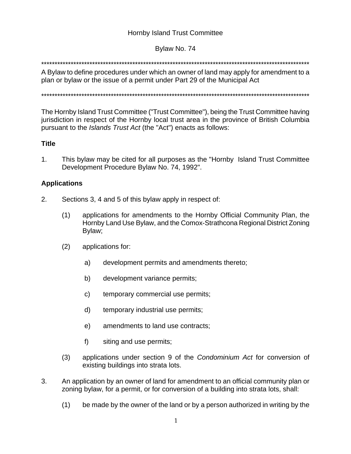# **Hornby Island Trust Committee**

## Bylaw No. 74

### 

A Bylaw to define procedures under which an owner of land may apply for amendment to a plan or bylaw or the issue of a permit under Part 29 of the Municipal Act

The Hornby Island Trust Committee ("Trust Committee"), being the Trust Committee having jurisdiction in respect of the Hornby local trust area in the province of British Columbia pursuant to the Islands Trust Act (the "Act") enacts as follows:

### **Title**

 $1<sup>1</sup>$ This bylaw may be cited for all purposes as the "Hornby Island Trust Committee" Development Procedure Bylaw No. 74, 1992".

### **Applications**

- $2.$ Sections 3, 4 and 5 of this bylaw apply in respect of:
	- $(1)$ applications for amendments to the Hornby Official Community Plan, the Hornby Land Use Bylaw, and the Comox-Strathcona Regional District Zoning Bylaw;
	- $(2)$ applications for:
		- a) development permits and amendments thereto;
		- b) development variance permits;
		- c) temporary commercial use permits;
		- d) temporary industrial use permits:
		- e) amendments to land use contracts:
		- $f$ ) siting and use permits;
	- applications under section 9 of the Condominium Act for conversion of  $(3)$ existing buildings into strata lots.
- 3. An application by an owner of land for amendment to an official community plan or zoning bylaw, for a permit, or for conversion of a building into strata lots, shall:
	- $(1)$ be made by the owner of the land or by a person authorized in writing by the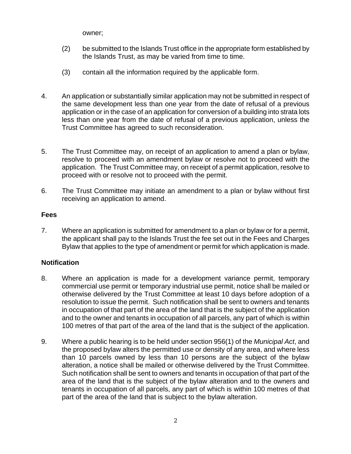owner;

- (2) be submitted to the Islands Trust office in the appropriate form established by the Islands Trust, as may be varied from time to time.
- (3) contain all the information required by the applicable form.
- 4. An application or substantially similar application may not be submitted in respect of the same development less than one year from the date of refusal of a previous application or in the case of an application for conversion of a building into strata lots less than one year from the date of refusal of a previous application, unless the Trust Committee has agreed to such reconsideration.
- 5. The Trust Committee may, on receipt of an application to amend a plan or bylaw, resolve to proceed with an amendment bylaw or resolve not to proceed with the application. The Trust Committee may, on receipt of a permit application, resolve to proceed with or resolve not to proceed with the permit.
- 6. The Trust Committee may initiate an amendment to a plan or bylaw without first receiving an application to amend.

## **Fees**

7. Where an application is submitted for amendment to a plan or bylaw or for a permit, the applicant shall pay to the Islands Trust the fee set out in the Fees and Charges Bylaw that applies to the type of amendment or permit for which application is made.

# **Notification**

- 8. Where an application is made for a development variance permit, temporary commercial use permit or temporary industrial use permit, notice shall be mailed or otherwise delivered by the Trust Committee at least 10 days before adoption of a resolution to issue the permit. Such notification shall be sent to owners and tenants in occupation of that part of the area of the land that is the subject of the application and to the owner and tenants in occupation of all parcels, any part of which is within 100 metres of that part of the area of the land that is the subject of the application.
- 9. Where a public hearing is to be held under section 956(1) of the *Municipal Act*, and the proposed bylaw alters the permitted use or density of any area, and where less than 10 parcels owned by less than 10 persons are the subject of the bylaw alteration, a notice shall be mailed or otherwise delivered by the Trust Committee. Such notification shall be sent to owners and tenants in occupation of that part of the area of the land that is the subject of the bylaw alteration and to the owners and tenants in occupation of all parcels, any part of which is within 100 metres of that part of the area of the land that is subject to the bylaw alteration.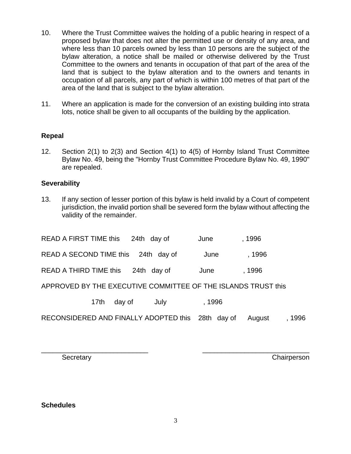- 10. Where the Trust Committee waives the holding of a public hearing in respect of a proposed bylaw that does not alter the permitted use or density of any area, and where less than 10 parcels owned by less than 10 persons are the subject of the bylaw alteration, a notice shall be mailed or otherwise delivered by the Trust Committee to the owners and tenants in occupation of that part of the area of the land that is subject to the bylaw alteration and to the owners and tenants in occupation of all parcels, any part of which is within 100 metres of that part of the area of the land that is subject to the bylaw alteration.
- 11. Where an application is made for the conversion of an existing building into strata lots, notice shall be given to all occupants of the building by the application.

### **Repeal**

12. Section 2(1) to 2(3) and Section 4(1) to 4(5) of Hornby Island Trust Committee Bylaw No. 49, being the "Hornby Trust Committee Procedure Bylaw No. 49, 1990" are repealed.

### **Severability**

13. If any section of lesser portion of this bylaw is held invalid by a Court of competent jurisdiction, the invalid portion shall be severed form the bylaw without affecting the validity of the remainder.

| READ A FIRST TIME this 24th day of                            | June | ,1996  |
|---------------------------------------------------------------|------|--------|
| READ A SECOND TIME this 24th day of                           | June | . 1996 |
| READ A THIRD TIME this 24th day of                            | June | . 1996 |
| APPROVED BY THE EXECUTIVE COMMITTEE OF THE ISLANDS TRUST this |      |        |

17th day of July , 1996

RECONSIDERED AND FINALLY ADOPTED this 28th day of August, 1996

\_\_\_\_\_\_\_\_\_\_\_\_\_\_\_\_\_\_\_\_\_\_\_\_\_\_\_\_ \_\_\_\_\_\_\_\_\_\_\_\_\_\_\_\_\_\_\_\_\_\_\_\_\_\_\_\_

Secretary **Chairperson** 

### **Schedules**

3